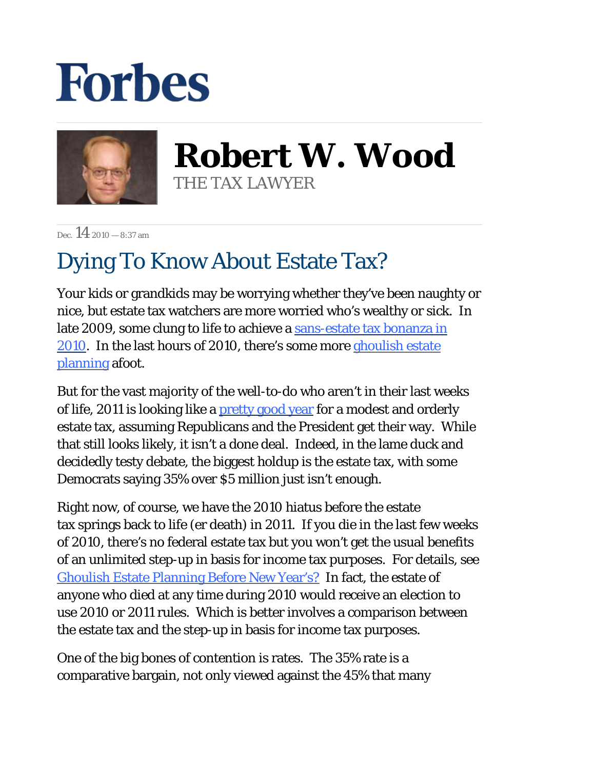## **Forbes**



**Robert W. Wood** THE TAX LAWYER

Dec.  $14_{2010} - 8:37$  am

## Dying To Know About Estate Tax?

Your kids or grandkids may be worrying whether they've been naughty or nice, but estate tax watchers are more worried who's wealthy or sick. In late 2009, some clung to life to achieve a sans-estate tax bonanza in [2010.](http://blogs.forbes.com/hanisarji/2010/11/03/some-contemplate-dying-in-2010-to-avoid-paying-estate-tax-2011/) In the last hours of 2010, there's some more ghoulish estate [planning](http://blogs.forbes.com/robertwood/2010/11/22/ghoulish-estate-planning-before-new-years/) afoot.

But for the vast majority of the well-to-do who aren't in their last weeks of life, 2011 is looking like a **pretty good year** for a modest and orderly estate tax, assuming Republicans and the President get their way. While that still looks likely, it isn't a done deal. Indeed, in the lame duck and decidedly testy debate, the biggest holdup is the estate tax, with some Democrats saying 35% over \$5 million just isn't enough.

Right now, of course, we have the 2010 hiatus before the estate tax springs back to life (er death) in 2011. If you die in the last few weeks of 2010, there's no federal estate tax but you won't get the usual benefits of an unlimited step-up in basis for income tax purposes. For details, see [Ghoulish Estate Planning Before New Year's?](http://blogs.forbes.com/robertwood/2010/11/22/ghoulish-estate-planning-before-new-years/) In fact, the estate of anyone who died at any time during 2010 would receive an election to use 2010 or 2011 rules. Which is better involves a comparison between the estate tax and the step-up in basis for income tax purposes.

One of the big bones of contention is rates. The 35% rate is a comparative bargain, not only viewed against the 45% that many